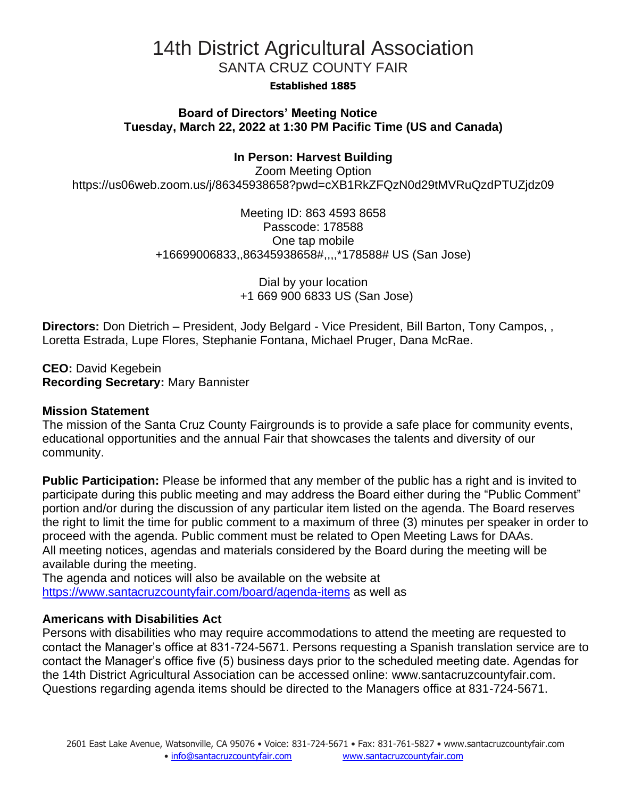## 14th District Agricultural Association SANTA CRUZ COUNTY FAIR

### **Established 1885**

### **Board of Directors' Meeting Notice Tuesday, March 22, 2022 at 1:30 PM Pacific Time (US and Canada)**

### **In Person: Harvest Building**

Zoom Meeting Option https://us06web.zoom.us/j/86345938658?pwd=cXB1RkZFQzN0d29tMVRuQzdPTUZjdz09

> Meeting ID: 863 4593 8658 Passcode: 178588 One tap mobile +16699006833,,86345938658#,,,,\*178588# US (San Jose)

> > Dial by your location +1 669 900 6833 US (San Jose)

**Directors:** Don Dietrich – President, Jody Belgard - Vice President, Bill Barton, Tony Campos, , Loretta Estrada, Lupe Flores, Stephanie Fontana, Michael Pruger, Dana McRae.

**CEO:** David Kegebein **Recording Secretary:** Mary Bannister

#### **Mission Statement**

The mission of the Santa Cruz County Fairgrounds is to provide a safe place for community events, educational opportunities and the annual Fair that showcases the talents and diversity of our community.

**Public Participation:** Please be informed that any member of the public has a right and is invited to participate during this public meeting and may address the Board either during the "Public Comment" portion and/or during the discussion of any particular item listed on the agenda. The Board reserves the right to limit the time for public comment to a maximum of three (3) minutes per speaker in order to proceed with the agenda. Public comment must be related to Open Meeting Laws for DAAs. All meeting notices, agendas and materials considered by the Board during the meeting will be available during the meeting.

The agenda and notices will also be available on the website at <https://www.santacruzcountyfair.com/board/agenda-items> as well as

### **Americans with Disabilities Act**

Persons with disabilities who may require accommodations to attend the meeting are requested to contact the Manager's office at 831-724-5671. Persons requesting a Spanish translation service are to contact the Manager's office five (5) business days prior to the scheduled meeting date. Agendas for the 14th District Agricultural Association can be accessed online: [www.santacruzcountyfair.com.](http://www.santacruzcountyfair.com/) Questions regarding agenda items should be directed to the Managers office at 831-724-5671.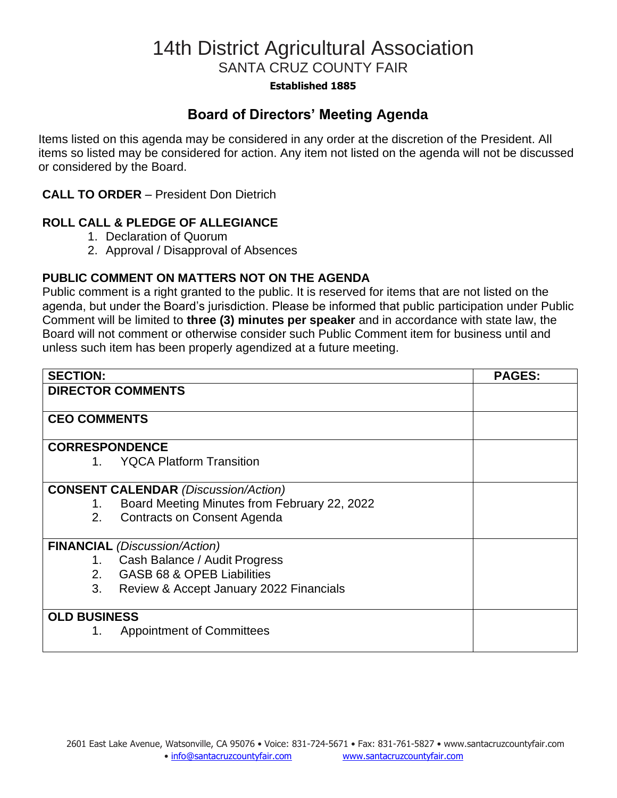## 14th District Agricultural Association SANTA CRUZ COUNTY FAIR

### **Established 1885**

### **Board of Directors' Meeting Agenda**

Items listed on this agenda may be considered in any order at the discretion of the President. All items so listed may be considered for action. Any item not listed on the agenda will not be discussed or considered by the Board.

### **CALL TO ORDER** – President Don Dietrich

### **ROLL CALL & PLEDGE OF ALLEGIANCE**

- 1. Declaration of Quorum
- 2. Approval / Disapproval of Absences

### **PUBLIC COMMENT ON MATTERS NOT ON THE AGENDA**

Public comment is a right granted to the public. It is reserved for items that are not listed on the agenda, but under the Board's jurisdiction. Please be informed that public participation under Public Comment will be limited to **three (3) minutes per speaker** and in accordance with state law, the Board will not comment or otherwise consider such Public Comment item for business until and unless such item has been properly agendized at a future meeting.

| <b>SECTION:</b>                             |                                              | <b>PAGES:</b> |
|---------------------------------------------|----------------------------------------------|---------------|
| <b>DIRECTOR COMMENTS</b>                    |                                              |               |
|                                             |                                              |               |
| <b>CEO COMMENTS</b>                         |                                              |               |
|                                             |                                              |               |
| <b>CORRESPONDENCE</b>                       |                                              |               |
| $1_{-}$                                     | <b>YQCA Platform Transition</b>              |               |
|                                             |                                              |               |
| <b>CONSENT CALENDAR (Discussion/Action)</b> |                                              |               |
| 1.                                          | Board Meeting Minutes from February 22, 2022 |               |
| 2.                                          | <b>Contracts on Consent Agenda</b>           |               |
| <b>FINANCIAL</b> (Discussion/Action)        |                                              |               |
| 1.                                          | Cash Balance / Audit Progress                |               |
| 2.                                          | GASB 68 & OPEB Liabilities                   |               |
| 3.                                          | Review & Accept January 2022 Financials      |               |
|                                             |                                              |               |
| <b>OLD BUSINESS</b>                         |                                              |               |
| 1.                                          | <b>Appointment of Committees</b>             |               |
|                                             |                                              |               |